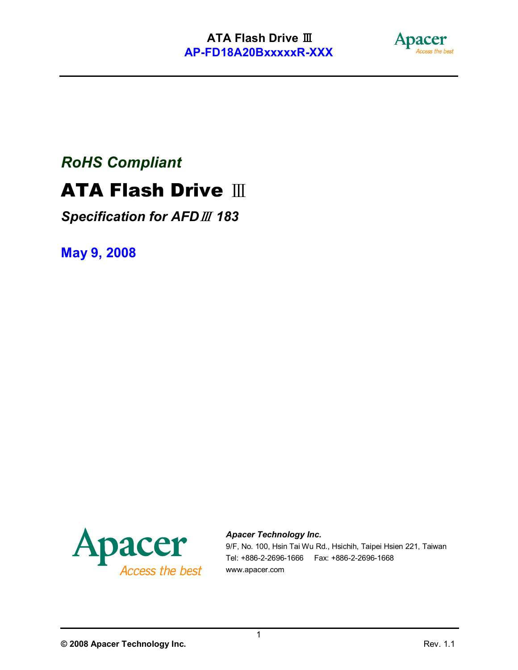

# *RoHS Compliant*

# ATA Flash Drive Ⅲ

*Specification for AFD*<sup>Ⅲ</sup> *183* 

May 9, 2008



#### *Apacer Technology Inc.*

9/F, No. 100, Hsin Tai Wu Rd., Hsichih, Taipei Hsien 221, Taiwan Tel: +886-2-2696-1666 Fax: +886-2-2696-1668 www.apacer.com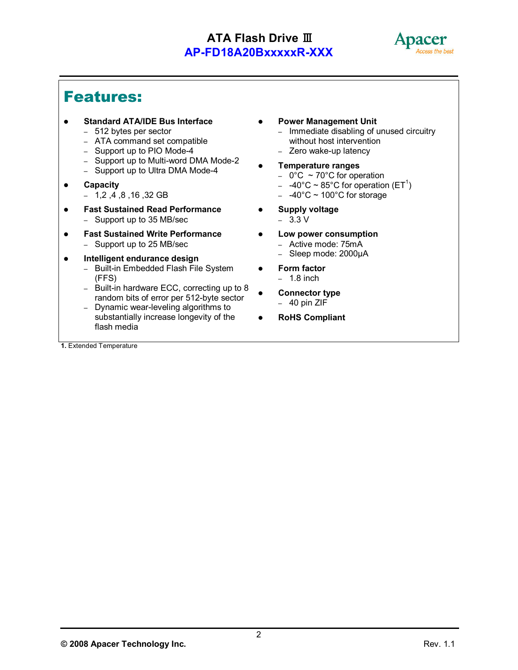

.

### Features:

- Standard ATA/IDE Bus Interface
	- 512 bytes per sector
	- ATA command set compatible
	- Support up to PIO Mode-4
	- Support up to Multi-word DMA Mode-2
	- Support up to Ultra DMA Mode-4
- Capacity
	- 1,2 ,4 ,8 ,16 ,32 GB
- Fast Sustained Read Performance – Support up to 35 MB/sec
- Fast Sustained Write Performance – Support up to 25 MB/sec
- Intelligent endurance design
	- Built-in Embedded Flash File System (FFS)
	- Built-in hardware ECC, correcting up to 8 random bits of error per 512-byte sector
	- Dynamic wear-leveling algorithms to substantially increase longevity of the flash media

1. Extended Temperature

- Power Management Unit
	- Immediate disabling of unused circuitry without host intervention
	- Zero wake-up latency
- Temperature ranges
	- $-$  0°C  $\sim$  70°C for operation
	- $-$  -40°C ~ 85°C for operation (ET<sup>1</sup>)
	- $-40^{\circ}$ C ~ 100°C for storage
- **•** Supply voltage – 3.3 V
- Low power consumption
	- Active mode: 75mA
	- Sleep mode: 2000µA
- Form factor
	- $-1.8$  inch
- Connector type – 40 pin ZIF
- RoHS Compliant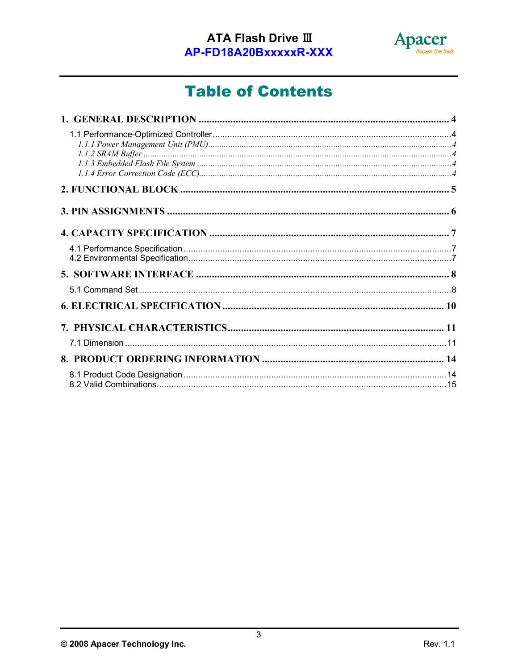

# **Table of Contents**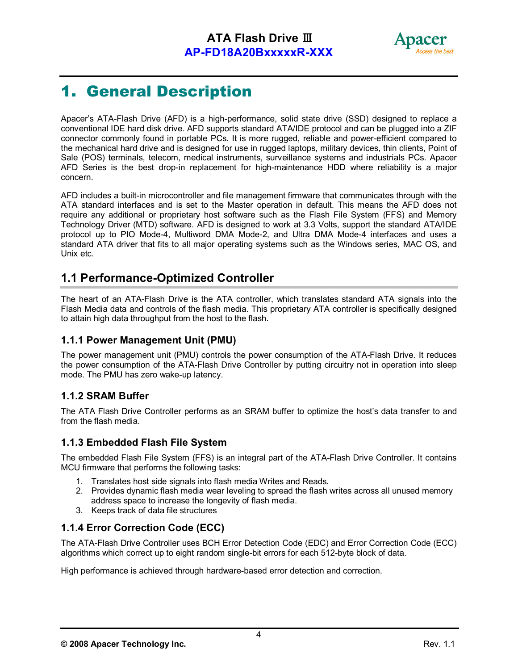

## 1. General Description

Apacer's ATA-Flash Drive (AFD) is a high-performance, solid state drive (SSD) designed to replace a conventional IDE hard disk drive. AFD supports standard ATA/IDE protocol and can be plugged into a ZIF connector commonly found in portable PCs. It is more rugged, reliable and power-efficient compared to the mechanical hard drive and is designed for use in rugged laptops, military devices, thin clients, Point of Sale (POS) terminals, telecom, medical instruments, surveillance systems and industrials PCs. Apacer AFD Series is the best drop-in replacement for high-maintenance HDD where reliability is a major concern.

AFD includes a built-in microcontroller and file management firmware that communicates through with the ATA standard interfaces and is set to the Master operation in default. This means the AFD does not require any additional or proprietary host software such as the Flash File System (FFS) and Memory Technology Driver (MTD) software. AFD is designed to work at 3.3 Volts, support the standard ATA/IDE protocol up to PIO Mode-4, Multiword DMA Mode-2, and Ultra DMA Mode-4 interfaces and uses a standard ATA driver that fits to all major operating systems such as the Windows series, MAC OS, and Unix etc.

### 1.1 Performance-Optimized Controller

The heart of an ATA-Flash Drive is the ATA controller, which translates standard ATA signals into the Flash Media data and controls of the flash media. This proprietary ATA controller is specifically designed to attain high data throughput from the host to the flash.

#### 1.1.1 Power Management Unit (PMU)

The power management unit (PMU) controls the power consumption of the ATA-Flash Drive. It reduces the power consumption of the ATA-Flash Drive Controller by putting circuitry not in operation into sleep mode. The PMU has zero wake-up latency.

#### 1.1.2 SRAM Buffer

The ATA Flash Drive Controller performs as an SRAM buffer to optimize the host's data transfer to and from the flash media.

#### 1.1.3 Embedded Flash File System

The embedded Flash File System (FFS) is an integral part of the ATA-Flash Drive Controller. It contains MCU firmware that performs the following tasks:

- 1. Translates host side signals into flash media Writes and Reads.
- 2. Provides dynamic flash media wear leveling to spread the flash writes across all unused memory address space to increase the longevity of flash media.
- 3. Keeps track of data file structures

#### 1.1.4 Error Correction Code (ECC)

The ATA-Flash Drive Controller uses BCH Error Detection Code (EDC) and Error Correction Code (ECC) algorithms which correct up to eight random single-bit errors for each 512-byte block of data.

High performance is achieved through hardware-based error detection and correction.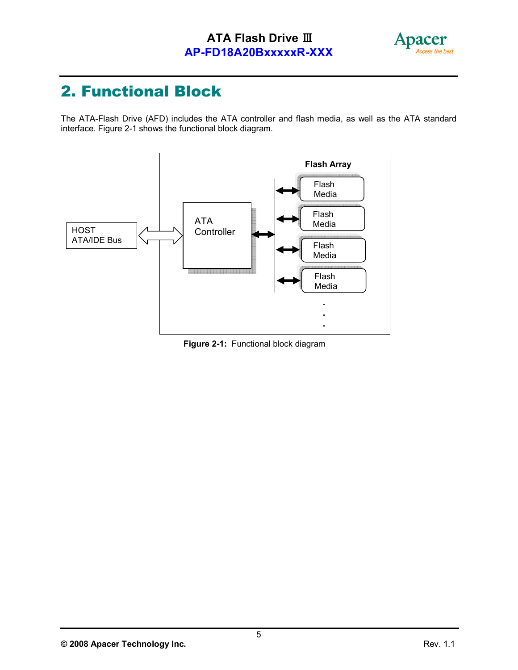

## 2. Functional Block

The ATA-Flash Drive (AFD) includes the ATA controller and flash media, as well as the ATA standard interface. Figure 2-1 shows the functional block diagram.



Figure 2-1: Functional block diagram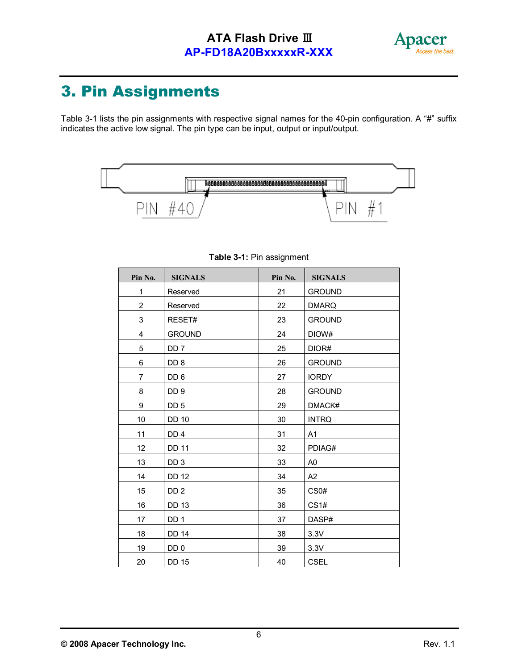

# 3. Pin Assignments

Table 3-1 lists the pin assignments with respective signal names for the 40-pin configuration. A "#" suffix indicates the active low signal. The pin type can be input, output or input/output.



| Pin No.                 | <b>SIGNALS</b>  | Pin No. | <b>SIGNALS</b>   |
|-------------------------|-----------------|---------|------------------|
| 1                       | Reserved        | 21      | <b>GROUND</b>    |
| $\overline{\mathbf{c}}$ | Reserved        | 22      | <b>DMARQ</b>     |
| 3                       | RESET#          | 23      | <b>GROUND</b>    |
| 4                       | <b>GROUND</b>   | 24      | DIOW#            |
| 5                       | DD <sub>7</sub> | 25      | DIOR#            |
| 6                       | DD <sub>8</sub> | 26      | <b>GROUND</b>    |
| $\overline{7}$          | DD <sub>6</sub> | 27      | <b>IORDY</b>     |
| 8                       | DD <sub>9</sub> | 28      | <b>GROUND</b>    |
| 9                       | DD <sub>5</sub> | 29      | DMACK#           |
| 10                      | <b>DD 10</b>    | 30      | <b>INTRQ</b>     |
| 11                      | DD <sub>4</sub> | 31      | A <sub>1</sub>   |
| 12                      | <b>DD 11</b>    | 32      | PDIAG#           |
| 13                      | DD <sub>3</sub> | 33      | A <sub>0</sub>   |
| 14                      | <b>DD 12</b>    | 34      | A2               |
| 15                      | DD <sub>2</sub> | 35      | CS <sub>0#</sub> |
| 16                      | <b>DD 13</b>    | 36      | CS1#             |
| 17                      | DD <sub>1</sub> | 37      | DASP#            |
| 18                      | <b>DD 14</b>    | 38      | 3.3V             |
| 19                      | DD 0            | 39      | 3.3V             |
| 20                      | <b>DD 15</b>    | 40      | CSEL             |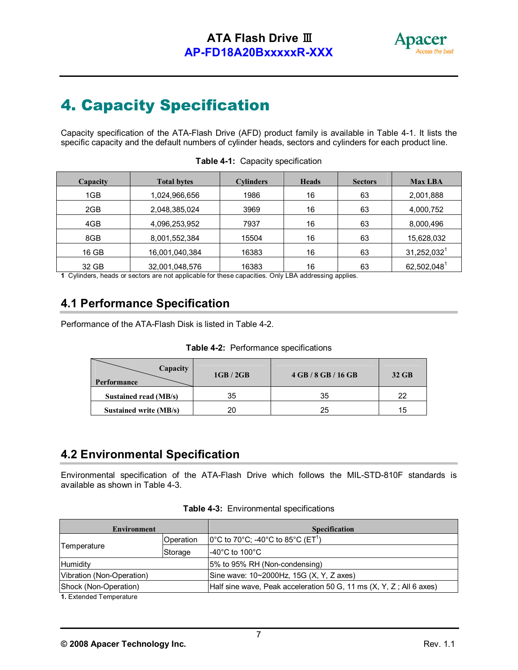

## 4. Capacity Specification

Capacity specification of the ATA-Flash Drive (AFD) product family is available in Table 4-1. It lists the specific capacity and the default numbers of cylinder heads, sectors and cylinders for each product line.

| Capacity | <b>Total bytes</b> | <b>Cylinders</b> | <b>Heads</b> | <b>Sectors</b> | <b>Max LBA</b>            |
|----------|--------------------|------------------|--------------|----------------|---------------------------|
| 1GB      | 1,024,966,656      | 1986             | 16           | 63             | 2,001,888                 |
| 2GB      | 2,048,385,024      | 3969             | 16           | 63             | 4,000,752                 |
| 4GB      | 4,096,253,952      | 7937             | 16           | 63             | 8,000,496                 |
| 8GB      | 8,001,552,384      | 15504            | 16           | 63             | 15,628,032                |
| 16 GB    | 16,001,040,384     | 16383            | 16           | 63             | $31,252,032^1$            |
| 32 GB    | 32,001,048,576     | 16383            | 16           | 63             | $62,502,048$ <sup>1</sup> |

#### Table 4-1: Capacity specification

1 Cylinders, heads or sectors are not applicable for these capacities. Only LBA addressing applies.

#### 4.1 Performance Specification

Performance of the ATA-Flash Disk is listed in Table 4-2.

|  |  | Table 4-2: Performance specifications |  |
|--|--|---------------------------------------|--|
|--|--|---------------------------------------|--|

| Capacity<br>Performance       | 1GB/2GB | $4$ GB $/$ 8 GB $/$ 16 GB | 32 GB |
|-------------------------------|---------|---------------------------|-------|
| Sustained read (MB/s)         | 35      | 35                        |       |
| <b>Sustained write (MB/s)</b> |         | 25                        | 15    |

#### 4.2 Environmental Specification

Environmental specification of the ATA-Flash Drive which follows the MIL-STD-810F standards is available as shown in Table 4-3.

| <b>Environment</b>        |         | <b>Specification</b>                                                                      |  |
|---------------------------|---------|-------------------------------------------------------------------------------------------|--|
| Operation                 |         | $[0^{\circ}$ C to 70 $^{\circ}$ C; -40 $^{\circ}$ C to 85 $^{\circ}$ C (ET <sup>1</sup> ) |  |
| Temperature               | Storage | $-40^{\circ}$ C to 100 $^{\circ}$ C                                                       |  |
| Humidity                  |         | 5% to 95% RH (Non-condensing)                                                             |  |
| Vibration (Non-Operation) |         | Sine wave: 10~2000Hz, 15G (X, Y, Z axes)                                                  |  |
| Shock (Non-Operation)     |         | Half sine wave, Peak acceleration 50 G, 11 ms (X, Y, Z; All 6 axes)                       |  |
|                           |         |                                                                                           |  |

|  | <b>Table 4-3: Environmental specifications</b> |  |
|--|------------------------------------------------|--|
|--|------------------------------------------------|--|

1. Extended Temperature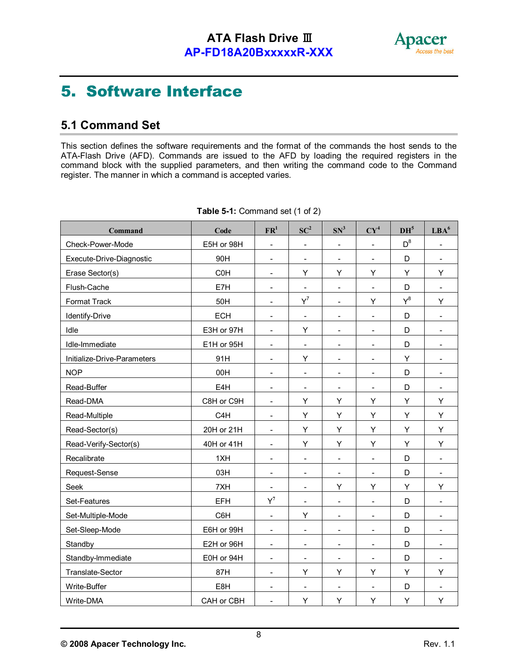

### 5. Software Interface

### 5.1 Command Set

This section defines the software requirements and the format of the commands the host sends to the ATA-Flash Drive (AFD). Commands are issued to the AFD by loading the required registers in the command block with the supplied parameters, and then writing the command code to the Command register. The manner in which a command is accepted varies.

| Command                     | Code             | $\mathbf{FR}^1$              | $SC^2$                       | SN <sup>3</sup>              | $CY^4$                   | DH <sup>5</sup> | LBA <sup>6</sup>         |
|-----------------------------|------------------|------------------------------|------------------------------|------------------------------|--------------------------|-----------------|--------------------------|
| Check-Power-Mode            | E5H or 98H       | $\overline{\phantom{a}}$     | $\overline{\phantom{a}}$     | $\overline{\phantom{a}}$     | $\overline{\phantom{a}}$ | $D^8$           | $\overline{\phantom{a}}$ |
| Execute-Drive-Diagnostic    | 90H              | $\overline{\phantom{a}}$     | $\overline{\phantom{a}}$     | $\overline{\phantom{a}}$     | $\overline{\phantom{a}}$ | D               | $\overline{\phantom{a}}$ |
| Erase Sector(s)             | C <sub>0</sub> H | $\sim$                       | Υ                            | Υ                            | Υ                        | Υ               | Υ                        |
| Flush-Cache                 | E7H              | $\overline{\phantom{a}}$     | $\blacksquare$               | $\overline{\phantom{a}}$     | $\overline{\phantom{a}}$ | D               | $\overline{\phantom{a}}$ |
| Format Track                | 50H              | $\overline{\phantom{a}}$     | $Y^7$                        | $\overline{\phantom{a}}$     | Υ                        | $Y^8$           | Υ                        |
| Identify-Drive              | <b>ECH</b>       | $\overline{\phantom{a}}$     | $\qquad \qquad \blacksquare$ | $\overline{\phantom{a}}$     | $\overline{\phantom{0}}$ | D               | $\overline{\phantom{a}}$ |
| Idle                        | E3H or 97H       | $\blacksquare$               | Υ                            | $\overline{\phantom{a}}$     | $\blacksquare$           | D               | $\overline{\phantom{a}}$ |
| Idle-Immediate              | E1H or 95H       | $\overline{\phantom{a}}$     | $\qquad \qquad -$            | $\overline{\phantom{a}}$     | $\overline{\phantom{a}}$ | D               | $\overline{\phantom{a}}$ |
| Initialize-Drive-Parameters | 91H              | $\blacksquare$               | Y                            | $\overline{\phantom{a}}$     | $\overline{\phantom{a}}$ | Y               | $\overline{\phantom{a}}$ |
| <b>NOP</b>                  | 00H              | $\blacksquare$               | $\qquad \qquad -$            | $\overline{\phantom{a}}$     | $\overline{\phantom{a}}$ | D               | $\overline{\phantom{a}}$ |
| Read-Buffer                 | E4H              | $\blacksquare$               | $\overline{a}$               | $\overline{\phantom{a}}$     | $\blacksquare$           | D               | $\overline{\phantom{a}}$ |
| Read-DMA                    | C8H or C9H       | $\blacksquare$               | Υ                            | Υ                            | Υ                        | Υ               | Υ                        |
| Read-Multiple               | C4H              | $\blacksquare$               | Y                            | Υ                            | Υ                        | Y               | Υ                        |
| Read-Sector(s)              | 20H or 21H       | $\blacksquare$               | Y                            | Υ                            | Υ                        | Y               | Υ                        |
| Read-Verify-Sector(s)       | 40H or 41H       | $\overline{\phantom{a}}$     | Υ                            | Υ                            | Υ                        | Υ               | Υ                        |
| Recalibrate                 | 1XH              | $\overline{\phantom{a}}$     | $\overline{\phantom{a}}$     | $\overline{\phantom{a}}$     | $\overline{\phantom{a}}$ | D               | $\overline{\phantom{a}}$ |
| Request-Sense               | 03H              | $\overline{\phantom{a}}$     | $\overline{\phantom{0}}$     | $\overline{\phantom{a}}$     | $\overline{\phantom{a}}$ | D               | $\overline{\phantom{a}}$ |
| Seek                        | 7XH              | $\blacksquare$               | $\overline{\phantom{a}}$     | Y                            | Υ                        | Y               | Υ                        |
| Set-Features                | <b>EFH</b>       | $Y^7$                        | -                            | $\overline{\phantom{a}}$     | $\overline{a}$           | D               | $\overline{\phantom{a}}$ |
| Set-Multiple-Mode           | C6H              | $\overline{\phantom{a}}$     | Υ                            | $\overline{\phantom{a}}$     | $\overline{\phantom{a}}$ | D               | $\overline{\phantom{a}}$ |
| Set-Sleep-Mode              | E6H or 99H       | $\overline{\phantom{a}}$     | $\overline{a}$               | $\overline{\phantom{0}}$     | $\overline{\phantom{a}}$ | D               | $\overline{\phantom{a}}$ |
| Standby                     | E2H or 96H       | $\overline{\phantom{a}}$     | $\overline{\phantom{a}}$     | $\overline{\phantom{a}}$     | $\overline{\phantom{a}}$ | D               | $\overline{\phantom{a}}$ |
| Standby-Immediate           | E0H or 94H       | $\overline{\phantom{a}}$     | $\overline{\phantom{0}}$     | $\overline{\phantom{a}}$     | $\blacksquare$           | D               | $\overline{\phantom{a}}$ |
| Translate-Sector            | 87H              | $\overline{\phantom{a}}$     | Υ                            | Υ                            | Υ                        | Υ               | Υ                        |
| Write-Buffer                | E8H              | $\qquad \qquad \blacksquare$ | $\qquad \qquad \blacksquare$ | $\qquad \qquad \blacksquare$ | $\overline{\phantom{a}}$ | D               | $\overline{\phantom{a}}$ |
| Write-DMA                   | CAH or CBH       | $\overline{\phantom{a}}$     | Υ                            | Υ                            | Υ                        | Υ               | Υ                        |

| Table 5-1: Command set (1 of 2) |
|---------------------------------|
|---------------------------------|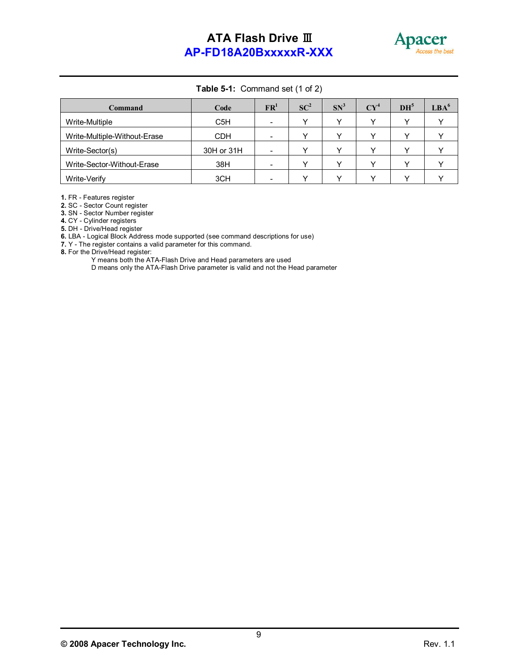

.

#### Table 5-1: Command set (1 of 2)

| Command                      | Code             | $\mathbf{FR}^1$          | $SC^2$ | $SN^3$ | $CY^4$ | DH <sup>5</sup> | LBA <sup>6</sup> |
|------------------------------|------------------|--------------------------|--------|--------|--------|-----------------|------------------|
| Write-Multiple               | C <sub>5</sub> H | -                        |        |        |        |                 |                  |
| Write-Multiple-Without-Erase | <b>CDH</b>       | $\overline{\phantom{0}}$ |        |        |        |                 |                  |
| Write-Sector(s)              | 30H or 31H       | $\overline{\phantom{0}}$ |        |        |        |                 |                  |
| Write-Sector-Without-Erase   | 38H              | -                        |        |        |        |                 |                  |
| Write-Verify                 | 3CH              | $\overline{\phantom{0}}$ |        |        |        |                 |                  |

1. FR - Features register

2. SC - Sector Count register

3. SN - Sector Number register

4. CY - Cylinder registers

5. DH - Drive/Head register

6. LBA - Logical Block Address mode supported (see command descriptions for use)

7. Y - The register contains a valid parameter for this command.

8. For the Drive/Head register:

Y means both the ATA-Flash Drive and Head parameters are used

D means only the ATA-Flash Drive parameter is valid and not the Head parameter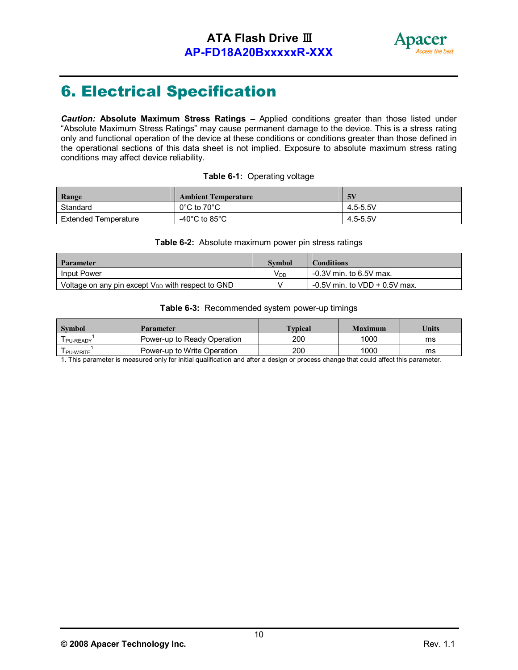

## 6. Electrical Specification

*Caution:* Absolute Maximum Stress Ratings – Applied conditions greater than those listed under "Absolute Maximum Stress Ratings" may cause permanent damage to the device. This is a stress rating only and functional operation of the device at these conditions or conditions greater than those defined in the operational sections of this data sheet is not implied. Exposure to absolute maximum stress rating conditions may affect device reliability.

#### Table 6-1: Operating voltage

| Range                | <b>Ambient Temperature</b>       | 5 <sub>1</sub> |
|----------------------|----------------------------------|----------------|
| Standard             | $0^{\circ}$ C to 70 $^{\circ}$ C | 4.5-5.5V       |
| Extended Temperature | -40°C to 85°C                    | 4.5-5.5V       |

#### Table 6-2: Absolute maximum power pin stress ratings

| Parameter                                              | Symbol   | Conditions                       |
|--------------------------------------------------------|----------|----------------------------------|
| <b>Input Power</b>                                     | $V_{DD}$ | -0.3V min. to 6.5V max.          |
| Voltage on any pin except $V_{DD}$ with respect to GND |          | $-0.5V$ min. to VDD $+0.5V$ max. |

#### Table 6-3: Recommended system power-up timings

| <b>Symbol</b> | <b>Parameter</b>            | <b>Typical</b> | Maximum | Units |
|---------------|-----------------------------|----------------|---------|-------|
| I PU-READY    | Power-up to Ready Operation | 200            | 1000    | ms    |
| I PU-WRITE    | Power-up to Write Operation | 200            | 1000    | ms    |

1. This parameter is measured only for initial qualification and after a design or process change that could affect this parameter.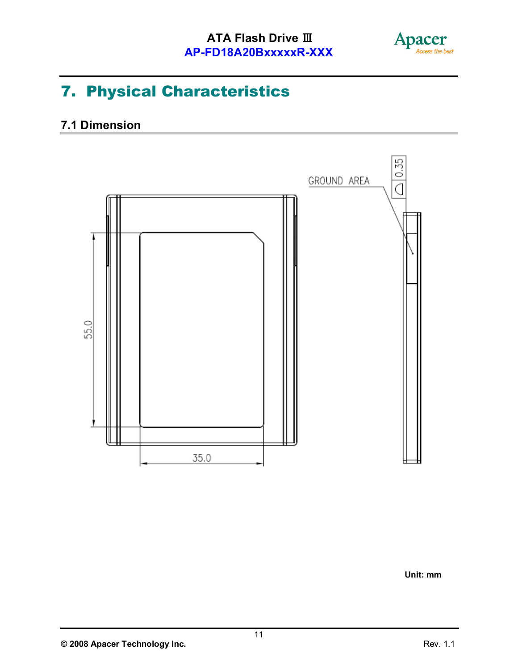

.

# 7. Physical Characteristics

### 7.1 Dimension



Unit: mm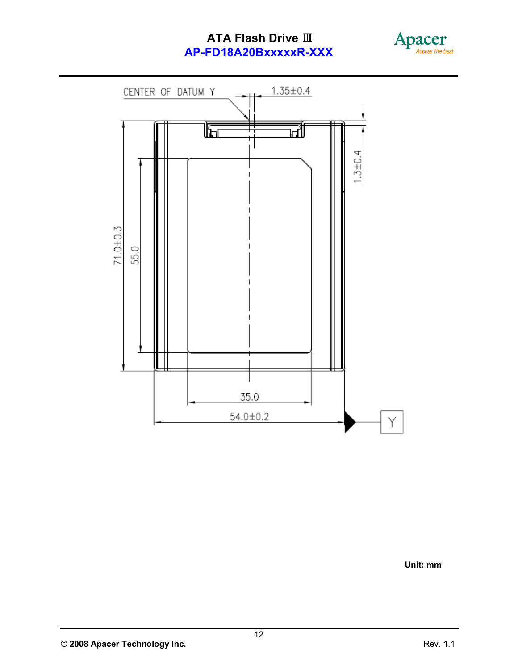



Unit: mm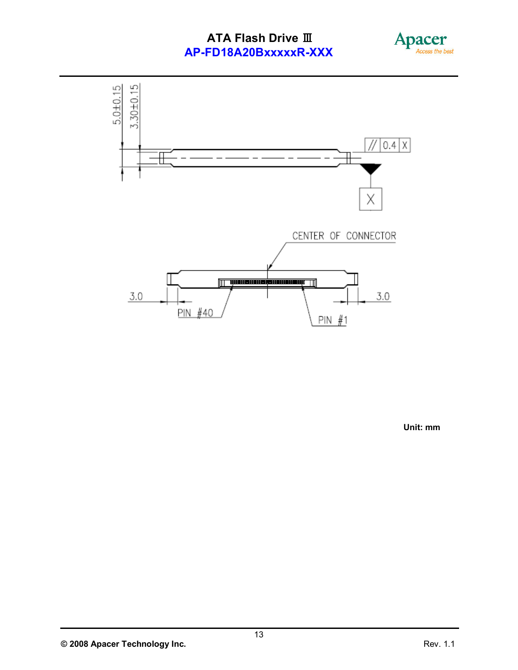



Unit: mm

<sup>© 2008</sup> Apacer Technology Inc.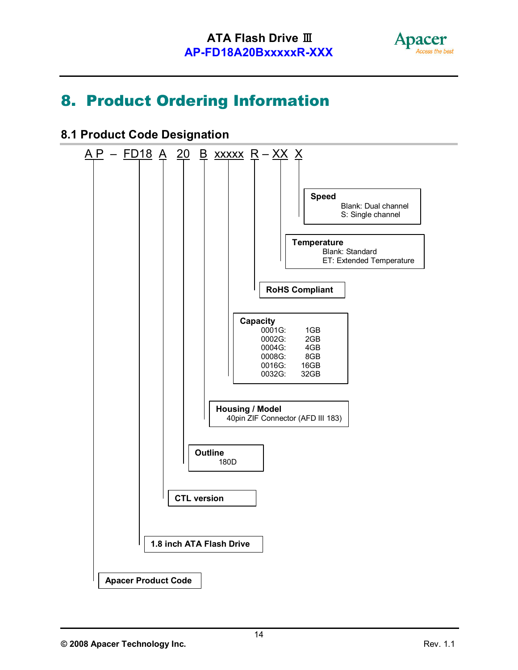

### 8. Product Ordering Information

#### 8.1 Product Code Designation

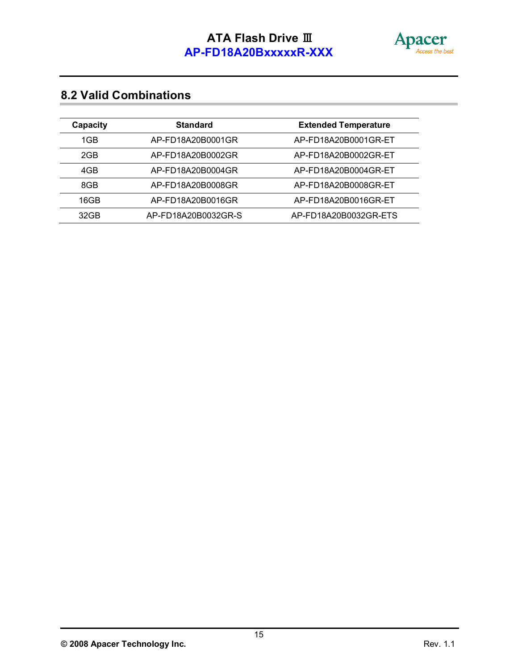

### 8.2 Valid Combinations

| Capacity | <b>Standard</b>     | <b>Extended Temperature</b> |
|----------|---------------------|-----------------------------|
| 1GB      | AP-FD18A20B0001GR   | AP-FD18A20B0001GR-ET        |
| 2GB      | AP-FD18A20B0002GR   | AP-FD18A20B0002GR-ET        |
| 4GB      | AP-FD18A20B0004GR   | AP-FD18A20B0004GR-ET        |
| 8GB      | AP-FD18A20B0008GR   | AP-FD18A20B0008GR-ET        |
| 16GB     | AP-FD18A20B0016GR   | AP-FD18A20B0016GR-ET        |
| 32GB     | AP-FD18A20B0032GR-S | AP-FD18A20B0032GR-ETS       |

© 2008 Apacer Technology Inc. **Rev. 1.1** and the set of the set of the Rev. 1.1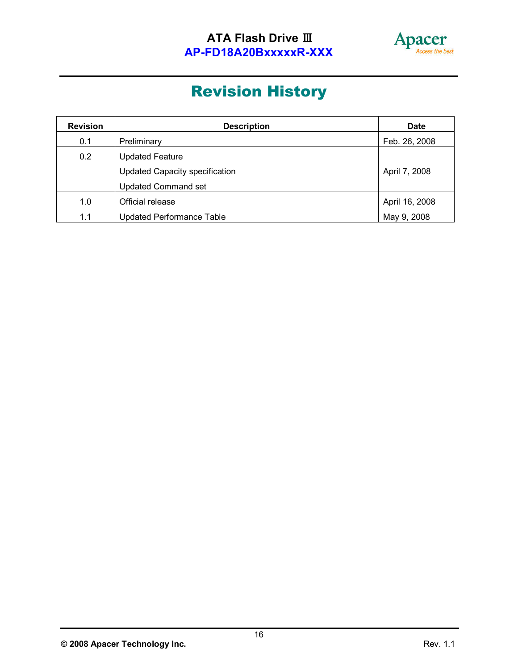

.

# Revision History

| <b>Revision</b> | <b>Description</b>                    | <b>Date</b>    |
|-----------------|---------------------------------------|----------------|
| 0.1             | Preliminary                           | Feb. 26, 2008  |
| 0.2             | <b>Updated Feature</b>                |                |
|                 | <b>Updated Capacity specification</b> | April 7, 2008  |
|                 | <b>Updated Command set</b>            |                |
| 1.0             | Official release                      | April 16, 2008 |
| 1.1             | <b>Updated Performance Table</b>      | May 9, 2008    |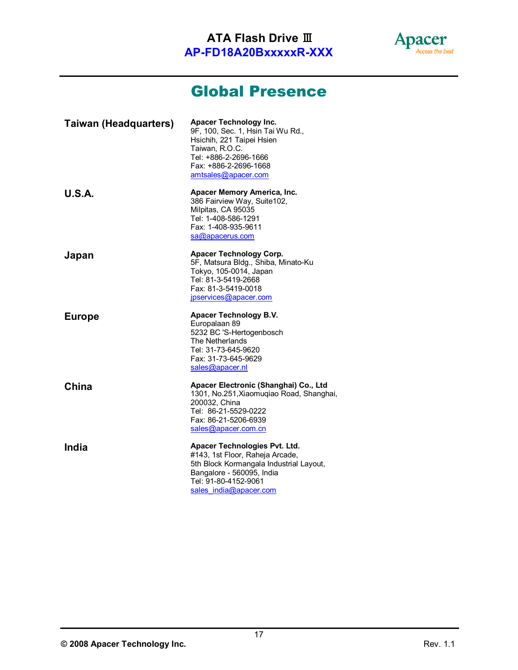

.

### Global Presence

| <b>Taiwan (Headquarters)</b> | <b>Apacer Technology Inc.</b><br>9F, 100, Sec. 1, Hsin Tai Wu Rd.,<br>Hsichih, 221 Taipei Hsien<br>Taiwan, R.O.C.<br>Tel: +886-2-2696-1666<br>Fax: +886-2-2696-1668<br>amtsales@apacer.com |
|------------------------------|--------------------------------------------------------------------------------------------------------------------------------------------------------------------------------------------|
| <b>U.S.A.</b>                | Apacer Memory America, Inc.<br>386 Fairview Way, Suite102,<br>Milpitas, CA 95035<br>Tel: 1-408-586-1291<br>Fax: 1-408-935-9611<br>sa@apacerus.com                                          |
| Japan                        | <b>Apacer Technology Corp.</b><br>5F, Matsura Bldg., Shiba, Minato-Ku<br>Tokyo, 105-0014, Japan<br>Tel: 81-3-5419-2668<br>Fax: 81-3-5419-0018<br>jpservices@apacer.com                     |
| <b>Europe</b>                | Apacer Technology B.V.<br>Europalaan 89<br>5232 BC 'S-Hertogenbosch<br>The Netherlands<br>Tel: 31-73-645-9620<br>Fax: 31-73-645-9629<br>sales@apacer.nl                                    |
| China                        | Apacer Electronic (Shanghai) Co., Ltd<br>1301, No.251, Xiaomugiao Road, Shanghai,<br>200032, China<br>Tel: 86-21-5529-0222<br>Fax: 86-21-5206-6939<br>sales@apacer.com.cn                  |
| India                        | Apacer Technologies Pvt. Ltd.<br>#143, 1st Floor, Raheja Arcade,<br>5th Block Kormangala Industrial Layout,                                                                                |